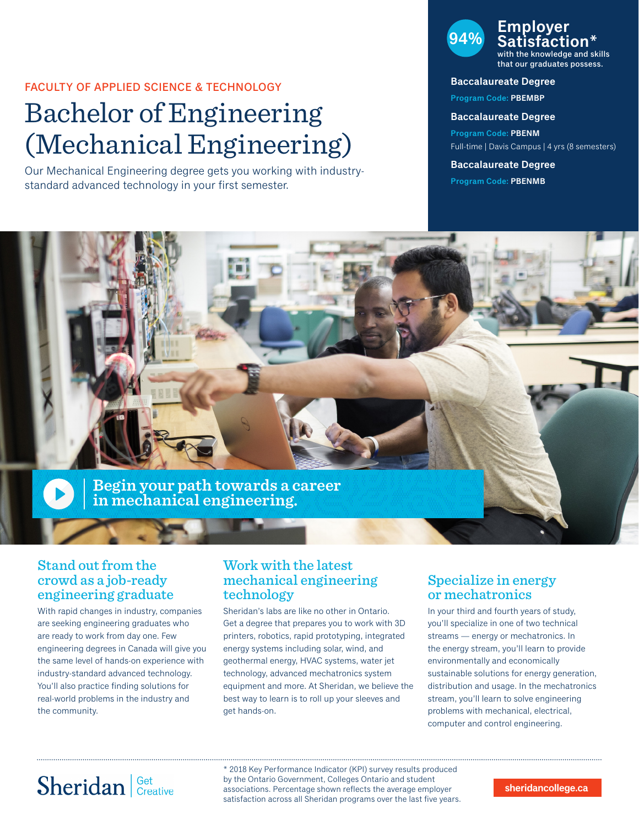#### FACULTY OF APPLIED SCIENCE & TECHNOLOGY

# Bachelor of Engineering (Mechanical Engineering)

Our Mechanical Engineering degree gets you working with industrystandard advanced technology in your first semester.

#### **94% Employer Satisfaction\*** with the knowledge and skills

that our graduates possess.

#### **Baccalaureate Degree**

**Program Code: PBEMBP**

#### **Baccalaureate Degree**

**Program Code: PBENM** Full-time | Davis Campus | 4 yrs (8 semesters)

**Baccalaureate Degree Program Code: PBENMB**



### Stand out from the crowd as a job-ready engineering graduate

With rapid changes in industry, companies are seeking engineering graduates who are ready to work from day one. Few engineering degrees in Canada will give you the same level of hands-on experience with industry-standard advanced technology. You'll also practice finding solutions for real-world problems in the industry and the community.

### Work with the latest mechanical engineering technology

Sheridan's labs are like no other in Ontario. Get a degree that prepares you to work with 3D printers, robotics, rapid prototyping, integrated energy systems including solar, wind, and geothermal energy, HVAC systems, water jet technology, advanced mechatronics system equipment and more. At Sheridan, we believe the best way to learn is to roll up your sleeves and get hands-on.

### Specialize in energy or mechatronics

In your third and fourth years of study, you'll specialize in one of two technical streams — energy or mechatronics. In the energy stream, you'll learn to provide environmentally and economically sustainable solutions for energy generation, distribution and usage. In the mechatronics stream, you'll learn to solve engineering problems with mechanical, electrical, computer and control engineering.

# Sheridan Get Creative

\* 2018 Key Performance Indicator (KPI) survey results produced by the Ontario Government, Colleges Ontario and student associations. Percentage shown reflects the average employer satisfaction across all Sheridan programs over the last five years.